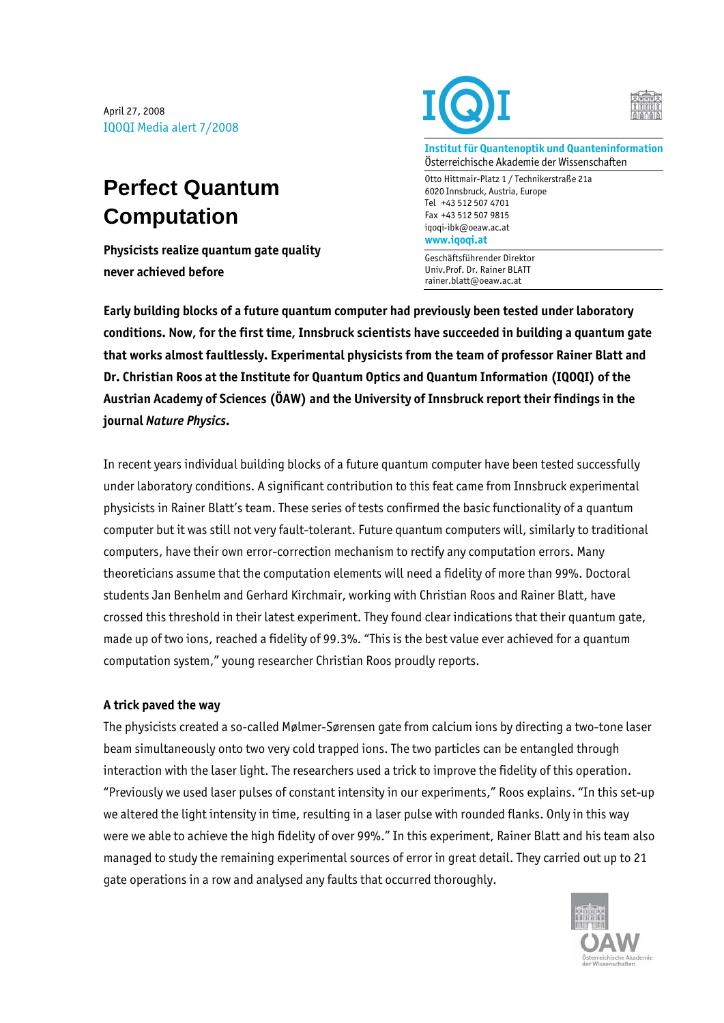April 27, 2008 IQOQI Media alert 7/2008

## **Perfect Quantum Computation**

**Physicists realize quantum gate quality never achieved before** 





**Institut für Quantenoptik und Quanteninformation**  Österreichische Akademie der Wissenschaften

Otto Hittmair-Platz 1 / Technikerstraße 21a 6020 Innsbruck, Austria, Europe Tel +43 512 507 4701 Fax +43 512 507 9815 iqoqi-ibk@oeaw.ac.at **www.iqoqi.at** 

Geschäftsführender Direktor Univ.Prof. Dr. Rainer BLATT rainer.blatt@oeaw.ac.at

**Early building blocks of a future quantum computer had previously been tested under laboratory conditions. Now, for the first time, Innsbruck scientists have succeeded in building a quantum gate that works almost faultlessly. Experimental physicists from the team of professor Rainer Blatt and Dr. Christian Roos at the Institute for Quantum Optics and Quantum Information (IQOQI) of the Austrian Academy of Sciences (ÖAW) and the University of Innsbruck report their findings in the journal** *Nature Physics***.** 

In recent years individual building blocks of a future quantum computer have been tested successfully under laboratory conditions. A significant contribution to this feat came from Innsbruck experimental physicists in Rainer Blatt's team. These series of tests confirmed the basic functionality of a quantum computer but it was still not very fault-tolerant. Future quantum computers will, similarly to traditional computers, have their own error-correction mechanism to rectify any computation errors. Many theoreticians assume that the computation elements will need a fidelity of more than 99%. Doctoral students Jan Benhelm and Gerhard Kirchmair, working with Christian Roos and Rainer Blatt, have crossed this threshold in their latest experiment. They found clear indications that their quantum gate, made up of two ions, reached a fidelity of 99.3%. "This is the best value ever achieved for a quantum computation system," young researcher Christian Roos proudly reports.

## **A trick paved the way**

The physicists created a so-called Mølmer-Sørensen gate from calcium ions by directing a two-tone laser beam simultaneously onto two very cold trapped ions. The two particles can be entangled through interaction with the laser light. The researchers used a trick to improve the fidelity of this operation. "Previously we used laser pulses of constant intensity in our experiments," Roos explains. "In this set-up we altered the light intensity in time, resulting in a laser pulse with rounded flanks. Only in this way were we able to achieve the high fidelity of over 99%." In this experiment, Rainer Blatt and his team also managed to study the remaining experimental sources of error in great detail. They carried out up to 21 gate operations in a row and analysed any faults that occurred thoroughly.